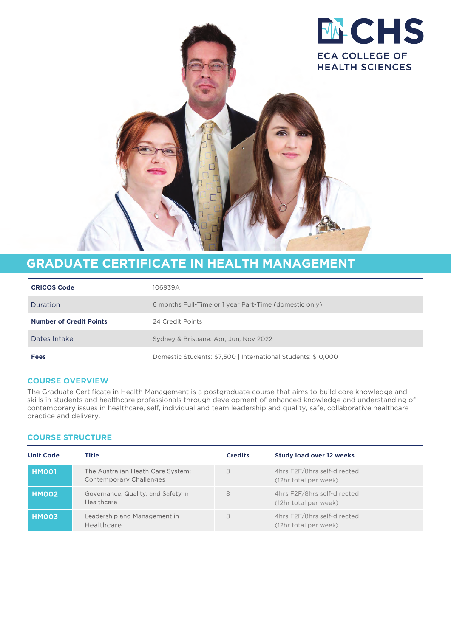

# **GRADUATE CERTIFICATE IN HEALTH MANAGEMENT**

| <b>CRICOS Code</b>             | 106939A                                                       |  |
|--------------------------------|---------------------------------------------------------------|--|
| Duration                       | 6 months Full-Time or 1 year Part-Time (domestic only)        |  |
| <b>Number of Credit Points</b> | 24 Credit Points                                              |  |
| Dates Intake                   | Sydney & Brisbane: Apr. Jun. Nov 2022                         |  |
| <b>Fees</b>                    | Domestic Students: \$7,500   International Students: \$10,000 |  |

## **COURSE OVERVIEW**

The Graduate Certificate in Health Management is a postgraduate course that aims to build core knowledge and skills in students and healthcare professionals through development of enhanced knowledge and understanding of contemporary issues in healthcare, self, individual and team leadership and quality, safe, collaborative healthcare practice and delivery.

### **COURSE STRUCTURE**

| <b>Unit Code</b> | Title                                                        | <b>Credits</b> | <b>Study load over 12 weeks</b>                      |
|------------------|--------------------------------------------------------------|----------------|------------------------------------------------------|
| HMO01            | The Australian Heath Care System:<br>Contemporary Challenges | 8              | 4hrs F2F/8hrs self-directed<br>(12hr total per week) |
| HMOO2            | Governance, Quality, and Safety in<br>Healthcare             | 8              | 4hrs F2F/8hrs self-directed<br>(12hr total per week) |
| HMO03            | Leadership and Management in<br>Healthcare                   | 8              | 4hrs F2F/8hrs self-directed<br>(12hr total per week) |